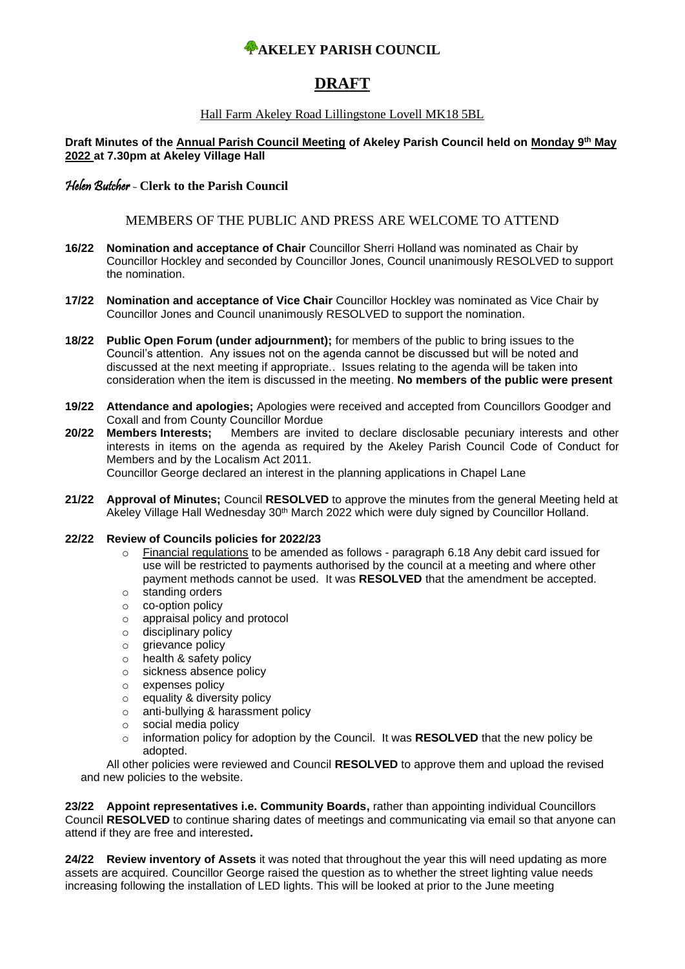## **AKELEY PARISH COUNCIL**

# **DRAFT**

#### Hall Farm Akeley Road Lillingstone Lovell MK18 5BL

**Draft Minutes of the Annual Parish Council Meeting of Akeley Parish Council held on Monday 9th May 2022 at 7.30pm at Akeley Village Hall**

#### Helen Butcher - **Clerk to the Parish Council**

#### MEMBERS OF THE PUBLIC AND PRESS ARE WELCOME TO ATTEND

- **16/22 Nomination and acceptance of Chair** Councillor Sherri Holland was nominated as Chair by Councillor Hockley and seconded by Councillor Jones, Council unanimously RESOLVED to support the nomination.
- **17/22 Nomination and acceptance of Vice Chair** Councillor Hockley was nominated as Vice Chair by Councillor Jones and Council unanimously RESOLVED to support the nomination.
- **18/22 Public Open Forum (under adjournment);** for members of the public to bring issues to the Council's attention. Any issues not on the agenda cannot be discussed but will be noted and discussed at the next meeting if appropriate.. Issues relating to the agenda will be taken into consideration when the item is discussed in the meeting. **No members of the public were present**
- **19/22 Attendance and apologies;** Apologies were received and accepted from Councillors Goodger and Coxall and from County Councillor Mordue<br> **Members Interests:** Members are invit
- **20/22 Members Interests;** Members are invited to declare disclosable pecuniary interests and other interests in items on the agenda as required by the Akeley Parish Council Code of Conduct for Members and by the Localism Act 2011. Councillor George declared an interest in the planning applications in Chapel Lane
- **21/22 Approval of Minutes;** Council **RESOLVED** to approve the minutes from the general Meeting held at Akeley Village Hall Wednesday 30<sup>th</sup> March 2022 which were duly signed by Councillor Holland.

#### **22/22 Review of Councils policies for 2022/23**

- o Financial regulations to be amended as follows paragraph 6.18 Any debit card issued for use will be restricted to payments authorised by the council at a meeting and where other payment methods cannot be used. It was **RESOLVED** that the amendment be accepted.
- o standing orders
- o co-option policy
- o appraisal policy and protocol
- o disciplinary policy
- o grievance policy
- o health & safety policy
- o sickness absence policy
- o expenses policy
- o equality & diversity policy
- o anti-bullying & harassment policy
- o social media policy
- o information policy for adoption by the Council. It was **RESOLVED** that the new policy be adopted.

All other policies were reviewed and Council **RESOLVED** to approve them and upload the revised and new policies to the website.

**23/22 Appoint representatives i.e. Community Boards,** rather than appointing individual Councillors Council **RESOLVED** to continue sharing dates of meetings and communicating via email so that anyone can attend if they are free and interested**.** 

**24/22 Review inventory of Assets** it was noted that throughout the year this will need updating as more assets are acquired. Councillor George raised the question as to whether the street lighting value needs increasing following the installation of LED lights. This will be looked at prior to the June meeting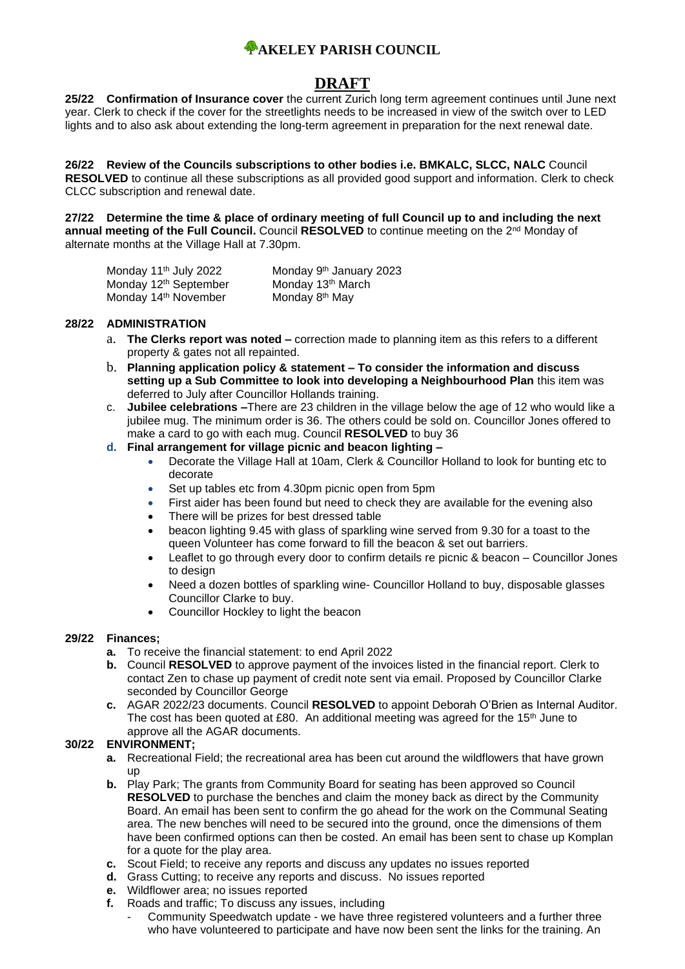## **AKELEY PARISH COUNCIL**

# **DRAFT**

**25/22 Confirmation of Insurance cover** the current Zurich long term agreement continues until June next year. Clerk to check if the cover for the streetlights needs to be increased in view of the switch over to LED lights and to also ask about extending the long-term agreement in preparation for the next renewal date.

**26/22 Review of the Councils subscriptions to other bodies i.e. BMKALC, SLCC, NALC** Council **RESOLVED** to continue all these subscriptions as all provided good support and information. Clerk to check CLCC subscription and renewal date.

**27/22 Determine the time & place of ordinary meeting of full Council up to and including the next annual meeting of the Full Council.** Council **RESOLVED** to continue meeting on the 2nd Monday of alternate months at the Village Hall at 7.30pm.

| Monday 11 <sup>th</sup> July 2022 | Monday 9 <sup>th</sup> January 2023 |
|-----------------------------------|-------------------------------------|
| Monday 12 <sup>th</sup> September | Monday 13 <sup>th</sup> March       |
| Monday 14 <sup>th</sup> November  | Monday 8 <sup>th</sup> May          |

#### **28/22 ADMINISTRATION**

- a. **The Clerks report was noted –** correction made to planning item as this refers to a different property & gates not all repainted.
- b. **Planning application policy & statement – To consider the information and discuss setting up a Sub Committee to look into developing a Neighbourhood Plan** this item was deferred to July after Councillor Hollands training.
- c. **Jubilee celebrations –**There are 23 children in the village below the age of 12 who would like a jubilee mug. The minimum order is 36. The others could be sold on. Councillor Jones offered to make a card to go with each mug. Council **RESOLVED** to buy 36

#### **d. Final arrangement for village picnic and beacon lighting –**

- Decorate the Village Hall at 10am, Clerk & Councillor Holland to look for bunting etc to decorate
- Set up tables etc from 4.30pm picnic open from 5pm
- First aider has been found but need to check they are available for the evening also
- There will be prizes for best dressed table
- beacon lighting 9.45 with glass of sparkling wine served from 9.30 for a toast to the queen Volunteer has come forward to fill the beacon & set out barriers.
- Leaflet to go through every door to confirm details re picnic & beacon Councillor Jones to design
- Need a dozen bottles of sparkling wine- Councillor Holland to buy, disposable glasses Councillor Clarke to buy.
- Councillor Hockley to light the beacon

#### **29/22 Finances;**

- **a.** To receive the financial statement: to end April 2022
- **b.** Council **RESOLVED** to approve payment of the invoices listed in the financial report. Clerk to contact Zen to chase up payment of credit note sent via email. Proposed by Councillor Clarke seconded by Councillor George
- **c.** AGAR 2022/23 documents. Council **RESOLVED** to appoint Deborah O'Brien as Internal Auditor. The cost has been quoted at £80. An additional meeting was agreed for the  $15<sup>th</sup>$  June to approve all the AGAR documents.

#### **30/22 ENVIRONMENT;**

- **a.** Recreational Field; the recreational area has been cut around the wildflowers that have grown up
- **b.** Play Park; The grants from Community Board for seating has been approved so Council **RESOLVED** to purchase the benches and claim the money back as direct by the Community Board. An email has been sent to confirm the go ahead for the work on the Communal Seating area. The new benches will need to be secured into the ground, once the dimensions of them have been confirmed options can then be costed. An email has been sent to chase up Komplan for a quote for the play area.
- **c.** Scout Field; to receive any reports and discuss any updates no issues reported
- **d.** Grass Cutting; to receive any reports and discuss. No issues reported
- **e.** Wildflower area; no issues reported
- **f.** Roads and traffic; To discuss any issues, including
	- Community Speedwatch update we have three registered volunteers and a further three who have volunteered to participate and have now been sent the links for the training. An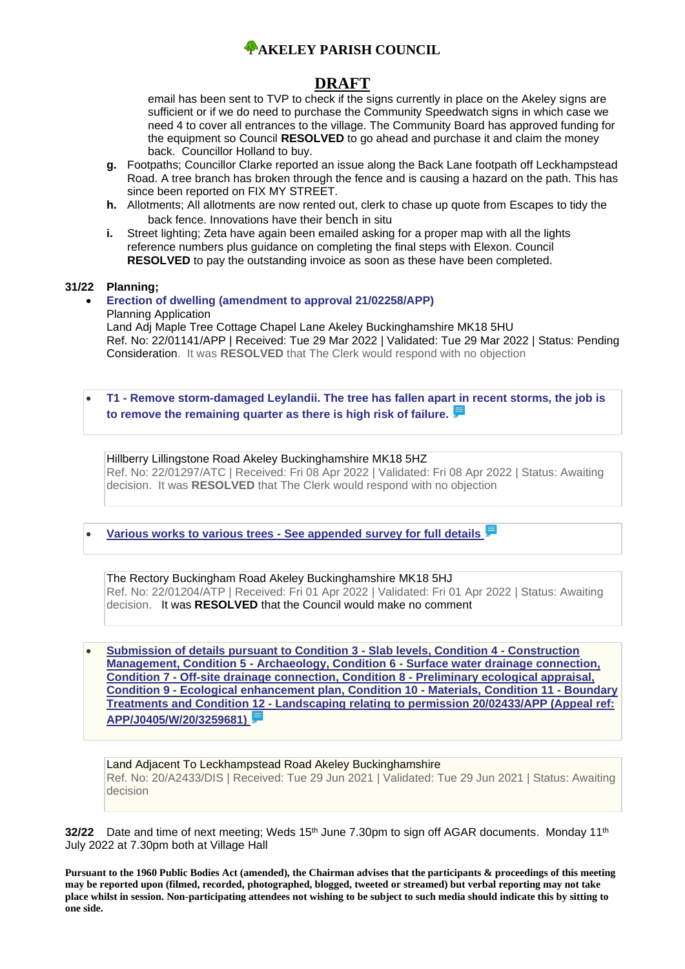

## **DRAFT**

email has been sent to TVP to check if the signs currently in place on the Akeley signs are sufficient or if we do need to purchase the Community Speedwatch signs in which case we need 4 to cover all entrances to the village. The Community Board has approved funding for the equipment so Council **RESOLVED** to go ahead and purchase it and claim the money back. Councillor Holland to buy.

- **g.** Footpaths; Councillor Clarke reported an issue along the Back Lane footpath off Leckhampstead Road. A tree branch has broken through the fence and is causing a hazard on the path. This has since been reported on FIX MY STREET.
- **h.** Allotments; All allotments are now rented out, clerk to chase up quote from Escapes to tidy the back fence. Innovations have their bench in situ
- **i.** Street lighting; Zeta have again been emailed asking for a proper map with all the lights reference numbers plus guidance on completing the final steps with Elexon. Council **RESOLVED** to pay the outstanding invoice as soon as these have been completed.

#### **31/22 Planning;**

#### • **[Erection of dwelling \(amendment to approval 21/02258/APP\)](https://publicaccess.aylesburyvaledc.gov.uk/online-applications/applicationDetails.do?activeTab=summary&keyVal=R9I134CLGVJ00&prevPage=inTray)** Planning Application Land Adj Maple Tree Cottage Chapel Lane Akeley Buckinghamshire MK18 5HU Ref. No: 22/01141/APP | Received: Tue 29 Mar 2022 | Validated: Tue 29 Mar 2022 | Status: Pending Consideration. It was **RESOLVED** that The Clerk would respond with no objection

• **T1 - [Remove storm-damaged Leylandii. The tree has fallen apart in recent storms, the job is](https://publicaccess.aylesburyvaledc.gov.uk/online-applications/applicationDetails.do?keyVal=RA0E7KCLH9A00&activeTab=summary)  [to remove the remaining quarter as there is high risk of failure.](https://publicaccess.aylesburyvaledc.gov.uk/online-applications/applicationDetails.do?keyVal=RA0E7KCLH9A00&activeTab=summary)**

#### Hillberry Lillingstone Road Akeley Buckinghamshire MK18 5HZ Ref. No: 22/01297/ATC | Received: Fri 08 Apr 2022 | Validated: Fri 08 Apr 2022 | Status: Awaiting decision. It was **RESOLVED** that The Clerk would respond with no objection

• **Various works to various trees - [See appended survey for full details](https://publicaccess.aylesburyvaledc.gov.uk/online-applications/applicationDetails.do?keyVal=R9NGXWCLH0500&activeTab=summary)**

The Rectory Buckingham Road Akeley Buckinghamshire MK18 5HJ Ref. No: 22/01204/ATP | Received: Fri 01 Apr 2022 | Validated: Fri 01 Apr 2022 | Status: Awaiting decision. It was **RESOLVED** that the Council would make no comment

• **[Submission of details pursuant to Condition 3 -](https://publicaccess.aylesburyvaledc.gov.uk/online-applications/applicationDetails.do?keyVal=QVGWNRCLL3A00&activeTab=summary) Slab levels, Condition 4 - Construction Management, Condition 5 - Archaeology, Condition 6 - [Surface water drainage connection,](https://publicaccess.aylesburyvaledc.gov.uk/online-applications/applicationDetails.do?keyVal=QVGWNRCLL3A00&activeTab=summary)  Condition 7 - [Off-site drainage connection, Condition 8 -](https://publicaccess.aylesburyvaledc.gov.uk/online-applications/applicationDetails.do?keyVal=QVGWNRCLL3A00&activeTab=summary) Preliminary ecological appraisal, Condition 9 - [Ecological enhancement plan, Condition 10 -](https://publicaccess.aylesburyvaledc.gov.uk/online-applications/applicationDetails.do?keyVal=QVGWNRCLL3A00&activeTab=summary) Materials, Condition 11 - Boundary Treatments and Condition 12 - [Landscaping relating to permission 20/02433/APP \(Appeal ref:](https://publicaccess.aylesburyvaledc.gov.uk/online-applications/applicationDetails.do?keyVal=QVGWNRCLL3A00&activeTab=summary)  [APP/J0405/W/20/3259681\)](https://publicaccess.aylesburyvaledc.gov.uk/online-applications/applicationDetails.do?keyVal=QVGWNRCLL3A00&activeTab=summary)**

Land Adjacent To Leckhampstead Road Akeley Buckinghamshire Ref. No: 20/A2433/DIS | Received: Tue 29 Jun 2021 | Validated: Tue 29 Jun 2021 | Status: Awaiting decision

**32/22** Date and time of next meeting; Weds 15<sup>th</sup> June 7.30pm to sign off AGAR documents. Monday 11<sup>th</sup> July 2022 at 7.30pm both at Village Hall

**Pursuant to the 1960 Public Bodies Act (amended), the Chairman advises that the participants & proceedings of this meeting may be reported upon (filmed, recorded, photographed, blogged, tweeted or streamed) but verbal reporting may not take place whilst in session. Non-participating attendees not wishing to be subject to such media should indicate this by sitting to one side.**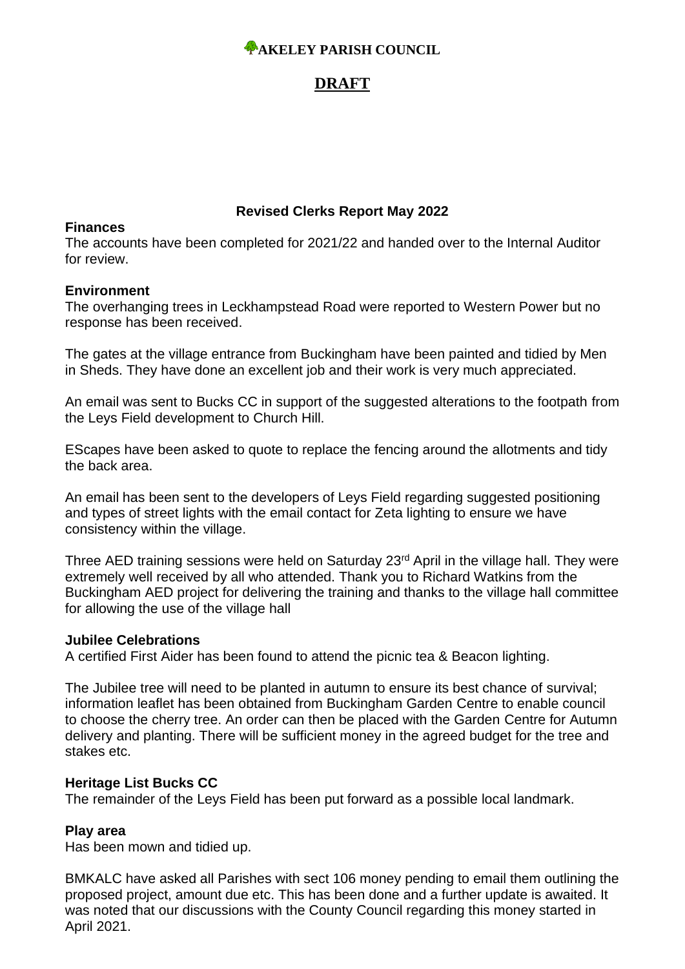# *A***AKELEY PARISH COUNCIL**

# **DRAFT**

### **Revised Clerks Report May 2022**

### **Finances**

The accounts have been completed for 2021/22 and handed over to the Internal Auditor for review.

### **Environment**

The overhanging trees in Leckhampstead Road were reported to Western Power but no response has been received.

The gates at the village entrance from Buckingham have been painted and tidied by Men in Sheds. They have done an excellent job and their work is very much appreciated.

An email was sent to Bucks CC in support of the suggested alterations to the footpath from the Leys Field development to Church Hill.

EScapes have been asked to quote to replace the fencing around the allotments and tidy the back area.

An email has been sent to the developers of Leys Field regarding suggested positioning and types of street lights with the email contact for Zeta lighting to ensure we have consistency within the village.

Three AED training sessions were held on Saturday 23<sup>rd</sup> April in the village hall. They were extremely well received by all who attended. Thank you to Richard Watkins from the Buckingham AED project for delivering the training and thanks to the village hall committee for allowing the use of the village hall

### **Jubilee Celebrations**

A certified First Aider has been found to attend the picnic tea & Beacon lighting.

The Jubilee tree will need to be planted in autumn to ensure its best chance of survival; information leaflet has been obtained from Buckingham Garden Centre to enable council to choose the cherry tree. An order can then be placed with the Garden Centre for Autumn delivery and planting. There will be sufficient money in the agreed budget for the tree and stakes etc.

### **Heritage List Bucks CC**

The remainder of the Leys Field has been put forward as a possible local landmark.

## **Play area**

Has been mown and tidied up.

BMKALC have asked all Parishes with sect 106 money pending to email them outlining the proposed project, amount due etc. This has been done and a further update is awaited. It was noted that our discussions with the County Council regarding this money started in April 2021.